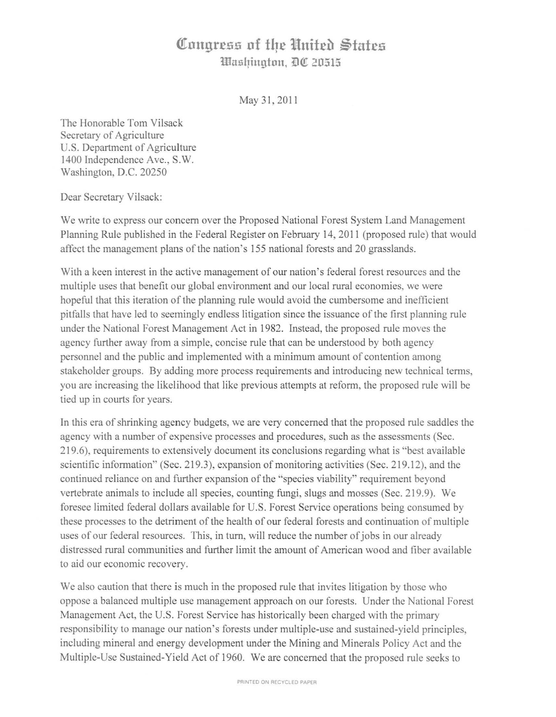## **Congress of the United States** *Washington, <b>DC* 20515

May 31, 2011

The Honorable Tom Vilsack Secretary of Agriculture U.S. Department of Agriculture 1400 Independence Ave., S.W. Washington, D.C. 20250

Dear Secretary Vilsack:

We write to express our concern over the Proposed National Forest System Land Management Planning Rule published in the Federal Register on February 14,2011 (proposed rule) that would affect the management plans of the nation's 155 national forests and 20 grasslands.

With a keen interest in the active management of our nation's federal forest resources and the multiple uses that benefit our global environment and our local rural economies, we were hopeful that this iteration of the planning rule would avoid the cumbersome and inefficient pitfalls that have led to seemingly endless litigation since the issuance of the first planning rule under the National Forest Management Act in 1982. Instead, the proposed rule moves the agency further away from a simple, concise rule that can be understood by both agency personnel and the public and implemented with a minimum amount of contention among stakeholder groups. By adding more process requirements and introducing new technical terms, you are increasing the likelihood that like previous attempts at reform, the proposed rule will be tied up in courts for years.

In this era of shrinking agency budgets, we are very concerned that the proposed rule saddles the agency with a number of expensive processes and procedures, such as the assessments (Sec. 219.6), requirements to extensively document its conclusions regarding what is "best available scientific information" (Sec. 219.3), expansion of monitoring activities (Sec. 219.12), and the continued reliance on and further expansion of the "species viability" requirement beyond vertebrate animals to include all species, counting fungi, slugs and mosses (Sec. 219.9). We foresee limited federal dollars available for U.S. Forest Service operations being consumed by these processes to the detriment of the health of our federal forests and continuation of multiple uses of our federal resources. This, in turn, will reduce the number of jobs in our already distressed rural communities and further limit the amount of American wood and fiber available to aid our economic recovery.

We also caution that there is much in the proposed rule that invites litigation by those who oppose a balanced multiple use management approach on our forests. Under the National Forest Management Act, the U.S. Forest Service has historically been charged with the primary responsibility to manage our nation's forests under multiple-use and sustained-yield principles, including mineral and energy development under the Mining and Minerals Policy Act and the Multiple-Use Sustained-Yield Act of 1960. We are concerned that the proposed rule seeks to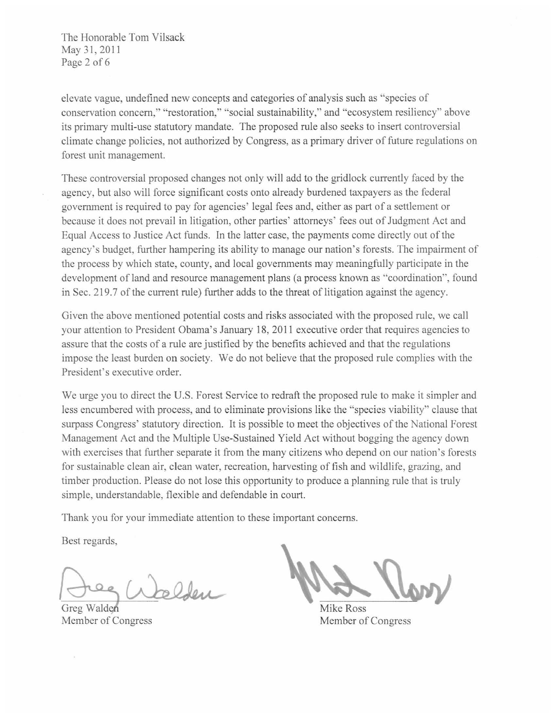The Honorable Tom Vilsack May 31, 2011 Page 2 of 6

elevate vague, undefined new concepts and categories of analysis such as "species of conservation concern," "restoration," "social sustainability," and "ecosystem resiliency" above its primary multi-use statutory mandate. The proposed rule also seeks to insert controversial climate change policies, not authorized by Congress, as a primary driver of future regulations on forest unit management.

These controversial proposed changes not only will add to the gridlock currently faced by the agency, but also will force significant costs onto already burdened taxpayers as the federal government is required to pay for agencies' legal fees and, either as part of a settlement or because it does not prevail in litigation, other parties' attorneys' fees out of Judgment Act and Equal Access to Justice Act funds. In the latter case, the payments come directly out of the agency's budget, further hampering its ability to manage our nation's forests. The impairment of the process by which state, county, and local governments may meaningfully participate in the development of land and resource management plans (a process known as "coordination", found in Sec. 219.7 of the current rule) further adds to the threat of litigation against the agency.

Given the above mentioned potential costs and risks associated with the proposed rule, we call your attention to President Obama's January 18,2011 executive order that requires agencies to assure that the costs of a rule are justified by the benefits achieved and that the regulations impose the least burden on society. We do not believe that the proposed rule complies with the President's executive order.

We urge you to direct the U.S. Forest Service to redraft the proposed rule to make it simpler and less encumbered with process, and to eliminate provisions like the "species viability" clause that surpass Congress' statutory direction. It is possible to meet the objectives of the National Forest Management Act and the Multiple Usc-Sustained Yield Act without bogging the agency down with exercises that further separate it from the many citizens who depend on our nation's forests for sustainable clean air, clean water, recreation, harvesting offish and wildlife, grazing, and timber production. Please do not lose this opportunity to produce a planning rule that is truly simple, understandable, flexible and defendable in court.

Thank you for your immediate attention to these important concerns.

Best regards,

Delen

Greg Walden Member of Congress

 $\frac{1}{\sqrt{2}}$ 

Mike Ross Member of Congress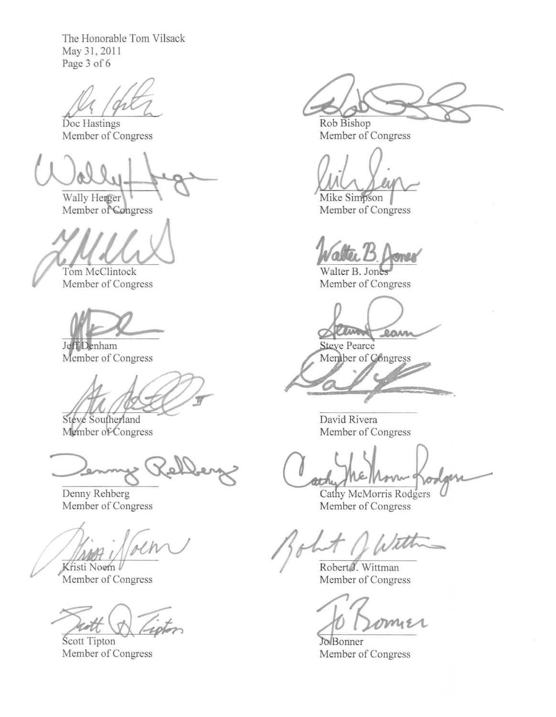The Honorable Tom Vilsack May 31, 2011 Page 3 of 6

 $M / 91$ 

Member of Congress

Wally Herger

Member of Congress

Tom McClintock Member of Congress

Jeff Denham Memher of Congress

Steve Southerland Member of Congress

Jenny Velkey

Denny Rehberg Member of Congress

Kristi Noem

Member of Congress

 $\bigotimes_{\substack{\longrightarrow \\ \Gamma\text{ Congress}}} \overline{\mathcal{L}_i}$ 

Member of Congress

**C:** Rob Bishop

Rob Bishop Member of Congress

Mike Simpson Member of Congress

ma

Walter B. Jones Member of Congress

**LUNDARY** lam

Steve Pearce Member of Congress

David Rivera Member of Congress

Cathy McMorris Rodgers Member of Congress

's  $M_{\text{Robert}}$ 

Wittman Member of Congress

mie

Jo Bonner Member of Congress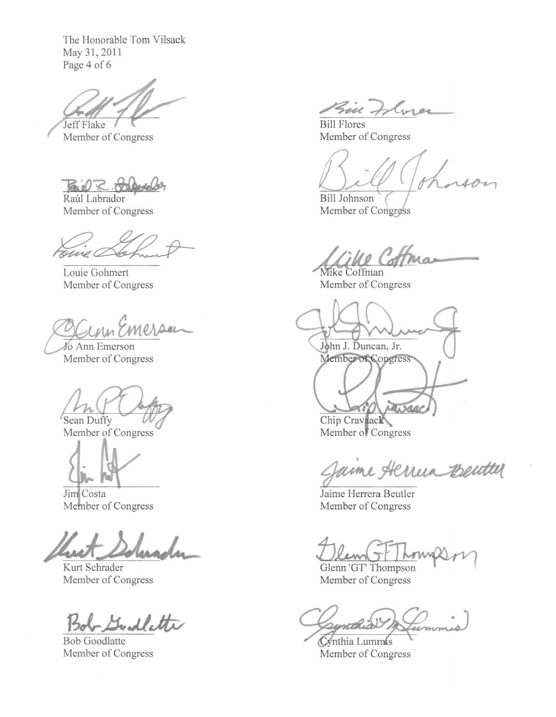The Honorable Tom Vilsack May 31, 2011 Page 4 of 6

Jeff Flake

Member of Congress

Bul R. Jalger

Raúl Labrador Member of Congress

ome a

Louie Gohmert Member of Congress

Jo Ann Emerson Member of Congress

Sean Duffy

Member of Congress

Jim Costa Member of Congress

Kurt Schrader Member of Congress

Godlette

**Bob Goodlatte** Member of Congress

Bin Flores

**Bill Flores** Member of Congress

**Bill Johnson** Member of Congress

 $\mathscr{O}$  Col

Mike Coffman Member of Congress

John J. Duncan, Jr. Member of Congress

Jurge Chip Cravaack Member of Congress

aime Aerrein Bentter

Jaime Herrera Beutler Member of Congress

Glenn 'GT' Thompson Member of Congress

rethio Cynthia Lummis

Member of Congress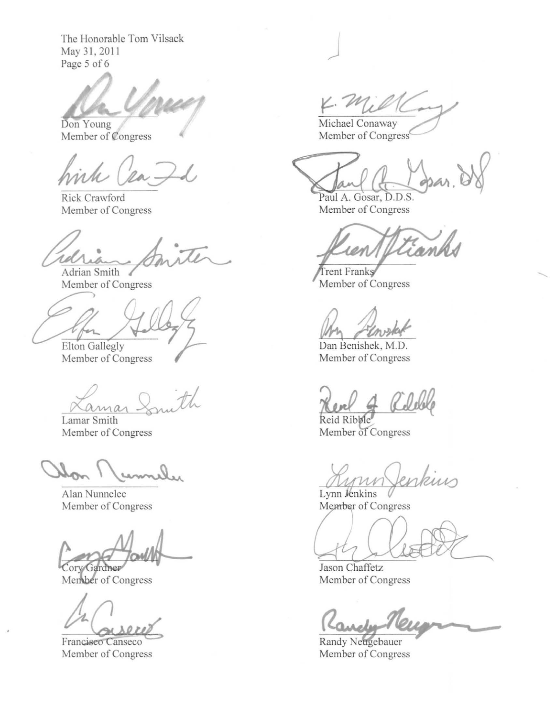The Honorable Tom Vilsack May 31,2011 Page 5 of 6

Don Young Member of Congress

Rick Crawford Member of Congress

• rd Adrian Smith

Member of Congress

Elton Gallegly

Member of Congress

Kamar Smith

Member of Congress

Alan Nunnelec Member of Congress

Cory Gardner

Member of Congress

Member of Congress

4. Millay

Michael Conaway<br>Member of Congress<sup>6</sup>

 $\overline{\phantom{a}}$ 

Paul A. Gosar, D.D.S. Member of Congress

ian

Trent Franks Member of Congress

Um *Flowskel* 

Member of Congress

 $\frac{d}{dR}$  and  $\frac{d}{dR}$ 

Reid Ribble Member of Congress

Lynn Jenkins Member of Congress

Jason Chaffetz Member of Congress

ander

Randy Neugebauer Member of Congress